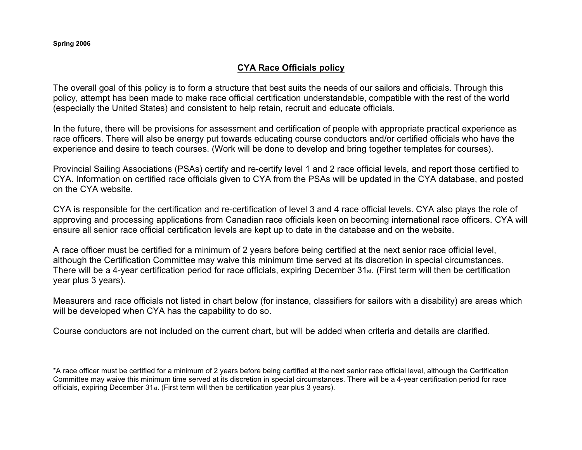## **CYA Race Officials policy**

The overall goal of this policy is to form a structure that best suits the needs of our sailors and officials. Through this policy, attempt has been made to make race official certification understandable, compatible with the rest of the world (especially the United States) and consistent to help retain, recruit and educate officials.

In the future, there will be provisions for assessment and certification of people with appropriate practical experience as race officers. There will also be energy put towards educating course conductors and/or certified officials who have the experience and desire to teach courses. (Work will be done to develop and bring together templates for courses).

Provincial Sailing Associations (PSAs) certify and re-certify level 1 and 2 race official levels, and report those certified to CYA. Information on certified race officials given to CYA from the PSAs will be updated in the CYA database, and posted on the CYA website.

CYA is responsible for the certification and re-certification of level 3 and 4 race official levels. CYA also plays the role of approving and processing applications from Canadian race officials keen on becoming international race officers. CYA will ensure all senior race official certification levels are kept up to date in the database and on the website.

A race officer must be certified for a minimum of 2 years before being certified at the next senior race official level, although the Certification Committee may waive this minimum time served at its discretion in special circumstances. There will be a 4-year certification period for race officials, expiring December 31st. (First term will then be certification year plus 3 years).

Measurers and race officials not listed in chart below (for instance, classifiers for sailors with a disability) are areas whichwill be developed when CYA has the capability to do so.

Course conductors are not included on the current chart, but will be added when criteria and details are clarified.

\*A race officer must be certified for a minimum of 2 years before being certified at the next senior race official level, although the Certification Committee may waive this minimum time served at its discretion in special circumstances. There will be a 4-year certification period for race officials, expiring December  $31_{st}$ . (First term will then be certification year plus 3 years).